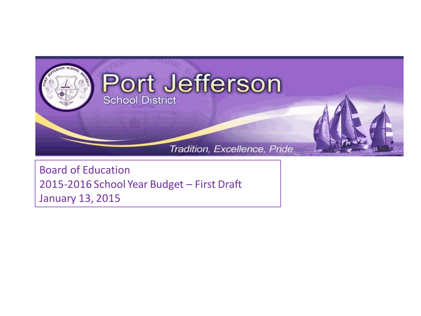

Board of Education 2015-2016 School Year Budget – First Draft January 13, 2015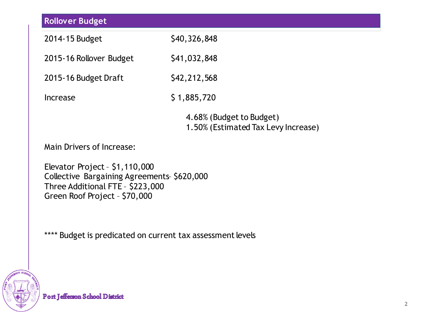| <b>Rollover Budget</b>                                                                                                                             |                                                                 |  |  |  |
|----------------------------------------------------------------------------------------------------------------------------------------------------|-----------------------------------------------------------------|--|--|--|
| 2014-15 Budget                                                                                                                                     | \$40,326,848                                                    |  |  |  |
| 2015-16 Rollover Budget                                                                                                                            | \$41,032,848                                                    |  |  |  |
| 2015-16 Budget Draft                                                                                                                               | \$42,212,568                                                    |  |  |  |
| <b>Increase</b>                                                                                                                                    | \$1,885,720                                                     |  |  |  |
|                                                                                                                                                    | 4.68% (Budget to Budget)<br>1.50% (Estimated Tax Levy Increase) |  |  |  |
| Main Drivers of Increase:                                                                                                                          |                                                                 |  |  |  |
| Elevator Project - $$1,110,000$<br>Collective Bargaining Agreements \$620,000<br>Three Additional FTE - \$223,000<br>Green Roof Project - \$70,000 |                                                                 |  |  |  |

\*\*\*\* Budget is predicated on current tax assessment levels

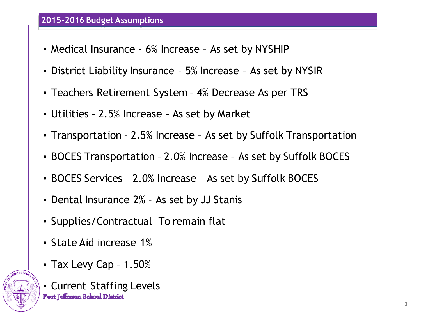## **2015-2016 Budget Assumptions**

- Medical Insurance 6% Increase As set by NYSHIP
- District Liability Insurance 5% Increase As set by NYSIR
- Teachers Retirement System 4% Decrease As per TRS
- Utilities 2.5% Increase As set by Market
- Transportation 2.5% Increase As set by Suffolk Transportation
- BOCES Transportation 2.0% Increase As set by Suffolk BOCES
- BOCES Services 2.0% Increase As set by Suffolk BOCES
- Dental Insurance 2% As set by JJ Stanis
- Supplies/Contractual– To remain flat
- State Aid increase 1%
- Tax Levy Cap 1.50%



• Current Staffing Levels**Port Jefferson School District**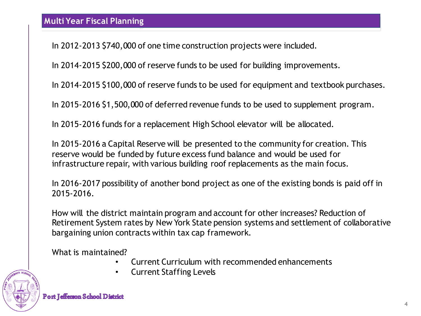In 2012-2013 \$740,000 of one time construction projects were included.

In 2014-2015 \$200,000 of reserve funds to be used for building improvements.

In 2014-2015 \$100,000 of reserve funds to be used for equipment and textbook purchases.

In 2015-2016 \$1,500,000 of deferred revenue funds to be used to supplement program.

In 2015-2016 funds for a replacement High School elevator will be allocated.

In 2015-2016 a Capital Reserve will be presented to the community for creation. This reserve would be funded by future excess fund balance and would be used for infrastructure repair, with various building roof replacements as the main focus.

In 2016-2017 possibility of another bond project as one of the existing bonds is paid off in 2015-2016.

How will the district maintain program and account for other increases? Reduction of Retirement System rates by New York State pension systems and settlement of collaborative bargaining union contracts within tax cap framework.

What is maintained?

- Current Curriculum with recommended enhancements
- Current Staffing Levels

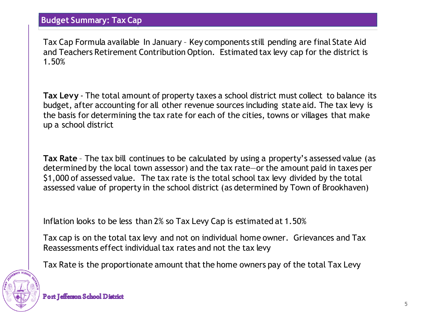**Budget Summary: Tax Cap**

Tax Cap Formula available In January – Key components still pending are final State Aid and Teachers Retirement Contribution Option. Estimated tax levy cap for the district is 1.50%

**Tax Levy** - The total amount of property taxes a school district must collect to balance its budget, after accounting for all other revenue sources including state aid. The tax levy is the basis for determining the tax rate for each of the cities, towns or villages that make up a school district

**Tax Rate** – The tax bill continues to be calculated by using a property's assessed value (as determined by the local town assessor) and the tax rate—or the amount paid in taxes per \$1,000 of assessed value. The tax rate is the total school tax levy divided by the total assessed value of property in the school district (as determined by Town of Brookhaven)

Inflation looks to be less than 2% so Tax Levy Cap is estimated at 1.50%

Tax cap is on the total tax levy and not on individual home owner. Grievances and Tax Reassessments effect individual tax rates and not the tax levy

Tax Rate is the proportionate amount that the home owners pay of the total Tax Levy

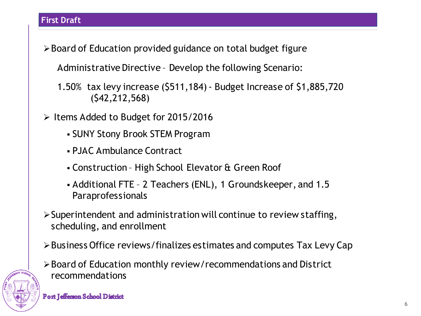## **First Draft**

Board of Education provided guidance on total budget figure

Administrative Directive – Develop the following Scenario:

- 1.50% tax levy increase (\$511,184) Budget Increase of \$1,885,720 (\$42,212,568)
- Items Added to Budget for 2015/2016
	- SUNY Stony Brook STEM Program
	- PJAC Ambulance Contract
	- Construction High School Elevator & Green Roof
	- Additional FTE 2 Teachers (ENL), 1 Groundskeeper, and 1.5 Paraprofessionals
- $\triangleright$  Superintendent and administration will continue to review staffing, scheduling, and enrollment
- Business Office reviews/finalizes estimates and computes Tax Levy Cap
- Board of Education monthly review/recommendations and District recommendations

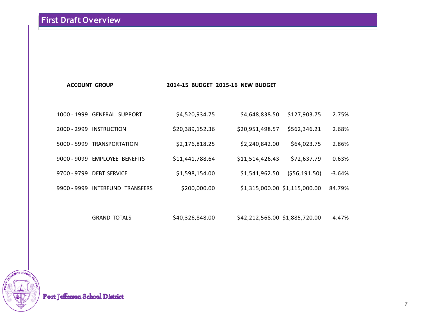# **First Draft Overview**

#### **ACCOUNT GROUP 2014-15 BUDGET 2015-16 NEW BUDGET**

|             | 1000 - 1999 GENERAL SUPPORT     | \$4,520,934.75  | \$4,648,838.50  | \$127,903.75                  | 2.75%  |
|-------------|---------------------------------|-----------------|-----------------|-------------------------------|--------|
| 2000 - 2999 | INSTRUCTION                     | \$20,389,152.36 | \$20,951,498.57 | \$562,346.21                  | 2.68%  |
|             | 5000 - 5999 TRANSPORTATION      | \$2,176,818.25  | \$2,240,842.00  | \$64,023.75                   | 2.86%  |
|             | 9000 - 9099 EMPLOYEE BENEFITS   | \$11,441,788.64 | \$11,514,426.43 | \$72,637.79                   | 0.63%  |
| 9700 - 9799 | <b>DEBT SERVICE</b>             | \$1,598,154.00  | \$1,541,962.50  | (556, 191.50)                 | -3.64% |
|             | 9900 - 9999 INTERFUND TRANSFERS | \$200,000.00    |                 | \$1,315,000.00 \$1,115,000.00 | 84.79% |

GRAND TOTALS \$40,326,848.00 \$42,212,568.00 \$1,885,720.00 4.47%



Port Jefferson School District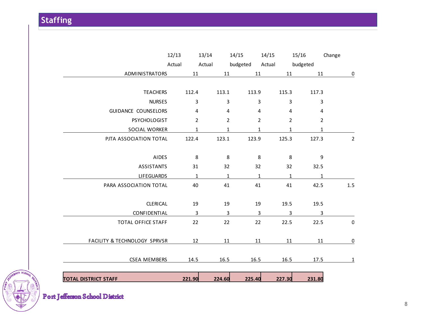|                | Change           | 15/16    |                | 14/15  | 14/15          |                | 13/14  |                | 12/13  |                              |
|----------------|------------------|----------|----------------|--------|----------------|----------------|--------|----------------|--------|------------------------------|
|                |                  | budgeted |                | Actual | budgeted       |                | Actual |                | Actual |                              |
| $\overline{0}$ | 11               |          | 11             |        | 11             | 11             |        | 11             |        | ADMINISTRATORS               |
|                | 117.3            |          | 115.3          |        | 113.9          | 113.1          |        | 112.4          |        | <b>TEACHERS</b>              |
|                | 3                |          | 3              |        | 3              | 3              |        | 3              |        | <b>NURSES</b>                |
|                | 4                |          | 4              |        | 4              | $\overline{4}$ |        | 4              |        | GUIDANCE COUNSELORS          |
|                | $\overline{2}$   |          | $\overline{2}$ |        | 2              | $\overline{2}$ |        | $\overline{2}$ |        | <b>PSYCHOLOGIST</b>          |
|                | $\mathbf{1}$     |          | $\mathbf{1}$   |        | $\mathbf{1}$   | $\mathbf{1}$   |        | $\mathbf{1}$   |        | SOCIAL WORKER                |
| $\overline{2}$ | 127.3            |          | 125.3          |        | 123.9          | 123.1          |        | 122.4          |        | PJTA ASSOCIATION TOTAL       |
|                | $\boldsymbol{9}$ |          | 8              |        | 8              | 8              |        | $\,8\,$        |        | <b>AIDES</b>                 |
|                | 32.5             |          | 32             |        | 32             | 32             |        | 31             |        | <b>ASSISTANTS</b>            |
|                | $\mathbf{1}$     |          | $\mathbf{1}$   |        | 1              | $\mathbf{1}$   |        | $\mathbf{1}$   |        | <b>LIFEGUARDS</b>            |
| 1.5            | 42.5             |          | 41             |        | 41             | 41             |        | 40             |        | PARA ASSOCIATION TOTAL       |
|                | 19.5             |          | 19.5           |        | 19             | 19             |        | 19             |        | <b>CLERICAL</b>              |
|                | 3                |          | 3              |        | $\overline{3}$ | $\overline{3}$ |        | 3              |        | CONFIDENTIAL                 |
| $\pmb{0}$      | 22.5             |          | 22.5           |        | 22             | 22             |        | 22             |        | <b>TOTAL OFFICE STAFF</b>    |
| $\overline{0}$ | 11               |          | 11             |        | 11             | 11             |        | 12             |        | FACILITY & TECHNOLOGY SPRVSR |
| $\overline{1}$ | 17.5             |          | 16.5           |        | 16.5           | 16.5           |        | 14.5           |        | <b>CSEA MEMBERS</b>          |
|                | 231.80           |          | 227.30         |        | 225.40         | 224.60         |        | 221.90         |        | <b>TOTAL DISTRICT STAFF</b>  |

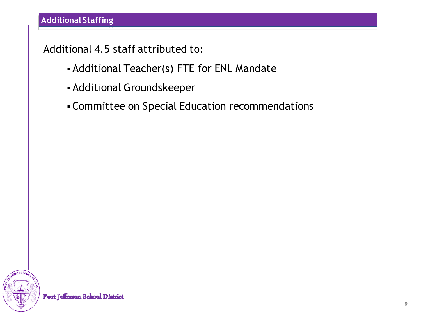Additional 4.5 staff attributed to:

- Additional Teacher(s) FTE for ENL Mandate
- Additional Groundskeeper
- Committee on Special Education recommendations

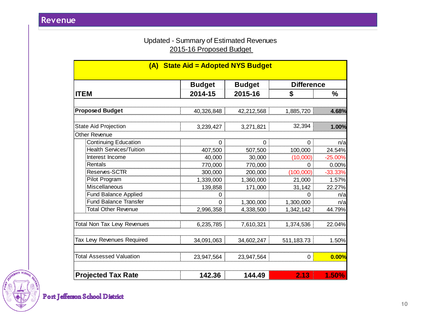### Updated - Summary of Estimated Revenues 2015-16 Proposed Budget

| (A) State Aid = Adopted NYS Budget |               |               |                   |               |  |
|------------------------------------|---------------|---------------|-------------------|---------------|--|
|                                    | <b>Budget</b> | <b>Budget</b> | <b>Difference</b> |               |  |
| <b>ITEM</b>                        | 2014-15       | 2015-16       | \$                | $\frac{0}{0}$ |  |
| <b>Proposed Budget</b>             |               |               |                   |               |  |
|                                    | 40,326,848    | 42,212,568    | 1,885,720         | 4.68%         |  |
| <b>State Aid Projection</b>        | 3,239,427     | 3,271,821     | 32,394            | 1.00%         |  |
| Other Revenue                      |               |               |                   |               |  |
| <b>Continuing Education</b>        | 0             | 0             | 0                 | n/a           |  |
| <b>Health Services/Tuition</b>     | 407,500       | 507,500       | 100,000           | 24.54%        |  |
| Interest Income                    | 40,000        | 30,000        | (10,000)          | $-25.00%$     |  |
| Rentals                            | 770,000       | 770,000       | 0                 | 0.00%         |  |
| Reserves-SCTR                      | 300,000       | 200,000       | (100, 000)        | $-33.33%$     |  |
| Pilot Program                      | 1,339,000     | 1,360,000     | 21,000            | 1.57%         |  |
| <b>Miscellaneous</b>               | 139,858       | 171,000       | 31,142            | 22.27%        |  |
| <b>Fund Balance Applied</b>        | 0             |               | 0                 | n/a           |  |
| <b>Fund Balance Transfer</b>       | $\Omega$      | 1,300,000     | 1,300,000         | n/a           |  |
| <b>Total Other Revenue</b>         | 2,996,358     | 4,338,500     | 1,342,142         | 44.79%        |  |
| <b>Total Non Tax Levy Revenues</b> | 6,235,785     | 7,610,321     | 1,374,536         | 22.04%        |  |
| Tax Levy Revenues Required         | 34,091,063    | 34,602,247    | 511,183.73        | 1.50%         |  |
| <b>Total Assessed Valuation</b>    | 23,947,564    | 23,947,564    | 0                 | 0.00%         |  |
| <b>Projected Tax Rate</b>          | 142.36        | 144.49        | 2.13              | 1.50%         |  |

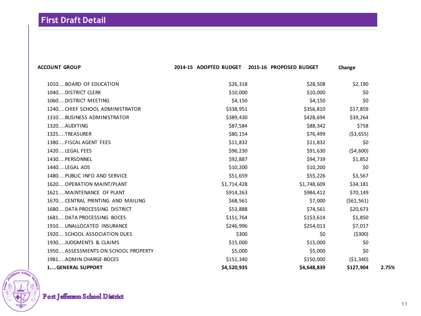| <b>ACCOUNT GROUP</b>               | 2014-15 ADOPTED BUDGET | 2015-16 PROPOSED BUDGET | Change     |       |
|------------------------------------|------------------------|-------------------------|------------|-------|
| 1010BOARD OF EDUCATION             | \$26,318               | \$28,508                | \$2,190    |       |
| 1040DISTRICT CLERK                 | \$10,000               | \$10,000                | \$0        |       |
| 1060DISTRICT MEETING               | \$4,150                | \$4,150                 | \$0        |       |
| 1240 CHIEF SCHOOL ADMINISTRATOR    | \$338,951              | \$356,810               | \$17,859   |       |
| 1310BUSINESS ADMINISTRATOR         | \$389,430              | \$428,694               | \$39,264   |       |
| 1320AUDITING                       | \$87,584               | \$88,342                | \$758      |       |
| 1325TREASURER                      | \$80,154               | \$76,499                | (53, 655)  |       |
| 1380FISCAL AGENT FEES              | \$11,832               | \$11,832                | \$0        |       |
| 1420LEGAL FEES                     | \$96,230               | \$91,630                | (54,600)   |       |
| 1430PERSONNEL                      | \$92,887               | \$94,739                | \$1,852    |       |
| 1440LEGAL ADS                      | \$10,200               | \$10,200                | \$0        |       |
| 1480PUBLIC INFO AND SERVICE        | \$51,659               | \$55,226                | \$3,567    |       |
| 1620 OPERATION MAINT/PLANT         | \$1,714,428            | \$1,748,609             | \$34,181   |       |
| 1621 MAINTENANCE OF PLANT          | \$914,263              | \$984,412               | \$70,149   |       |
| 1670CENTRAL PRINTING AND MAILING   | \$68,561               | \$7,000                 | (561, 561) |       |
| 1680DATA PROCESSING DISTRICT       | \$53,888               | \$74,561                | \$20,673   |       |
| 1681DATA PROCESSING BOCES          | \$151,764              | \$153,614               | \$1,850    |       |
| 1910UNALLOCATED INSURANCE          | \$246,996              | \$254,013               | \$7,017    |       |
| 1920SCHOOL ASSOCIATION DUES        | \$300                  | \$0                     | (5300)     |       |
| 1930JUDGMENTS & CLAIMS             | \$15,000               | \$15,000                | \$0        |       |
| 1950ASSESSMENTS ON SCHOOL PROPERTY | \$5,000                | \$5,000                 | \$0        |       |
| 1981ADMIN CHARGE-BOCES             | \$151,340              | \$150,000               | (51, 340)  |       |
| <b>1GENERAL SUPPORT</b>            | \$4,520,935            | \$4,648,839             | \$127,904  | 2.75% |

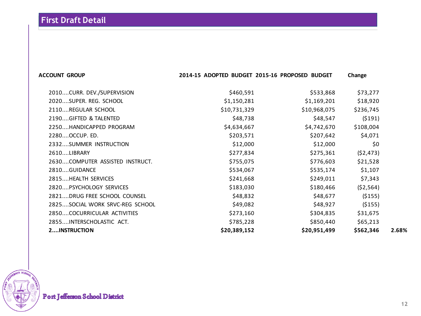| <b>ACCOUNT GROUP</b>            | 2014-15 ADOPTED BUDGET 2015-16 PROPOSED BUDGET |              | Change    |       |
|---------------------------------|------------------------------------------------|--------------|-----------|-------|
| 2010CURR. DEV./SUPERVISION      | \$460,591                                      | \$533,868    | \$73,277  |       |
| 2020SUPER. REG. SCHOOL          | \$1,150,281                                    | \$1,169,201  | \$18,920  |       |
| 2110REGULAR SCHOOL              | \$10,731,329                                   | \$10,968,075 | \$236,745 |       |
| 2190GIFTED & TALENTED           | \$48,738                                       | \$48,547     | (5191)    |       |
| 2250HANDICAPPED PROGRAM         | \$4,634,667                                    | \$4,742,670  | \$108,004 |       |
| 2280OCCUP. ED.                  | \$203,571                                      | \$207,642    | \$4,071   |       |
| 2332SUMMER INSTRUCTION          | \$12,000                                       | \$12,000     | \$0       |       |
| 2610LIBRARY                     | \$277,834                                      | \$275,361    | (52, 473) |       |
| 2630COMPUTER ASSISTED INSTRUCT. | \$755,075                                      | \$776,603    | \$21,528  |       |
| 2810GUIDANCE                    | \$534,067                                      | \$535,174    | \$1,107   |       |
| 2815HEALTH SERVICES             | \$241,668                                      | \$249,011    | \$7,343   |       |
| 2820PSYCHOLOGY SERVICES         | \$183,030                                      | \$180,466    | (52, 564) |       |
| 2821DRUG FREE SCHOOL COUNSEL    | \$48,832                                       | \$48,677     | ( \$155)  |       |
| 2825SOCIAL WORK SRVC-REG SCHOOL | \$49,082                                       | \$48,927     | ( \$155)  |       |
| 2850COCURRICULAR ACTIVITIES     | \$273,160                                      | \$304,835    | \$31,675  |       |
| 2855INTERSCHOLASTIC ACT.        | \$785,228                                      | \$850,440    | \$65,213  |       |
| <b>2INSTRUCTION</b>             | \$20,389,152                                   | \$20,951,499 | \$562,346 | 2.68% |